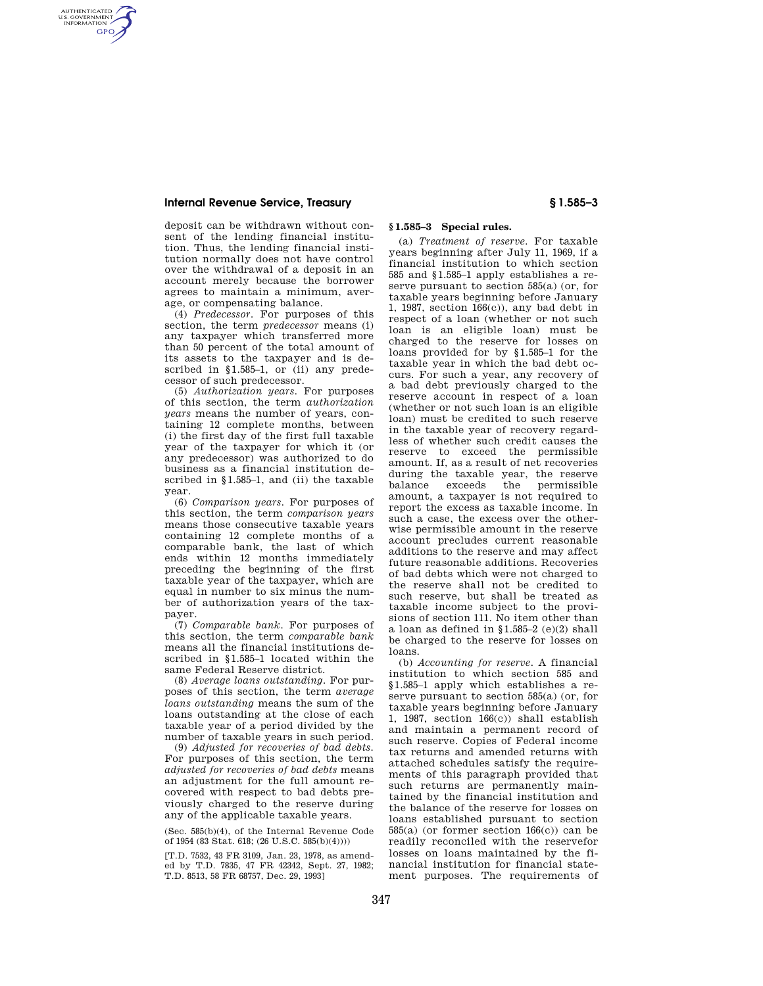## **Internal Revenue Service, Treasury § 1.585–3**

AUTHENTICATED<br>U.S. GOVERNMENT<br>INFORMATION **GPO** 

> deposit can be withdrawn without consent of the lending financial institution. Thus, the lending financial institution normally does not have control over the withdrawal of a deposit in an account merely because the borrower agrees to maintain a minimum, average, or compensating balance.

(4) *Predecessor.* For purposes of this section, the term *predecessor* means (i) any taxpayer which transferred more than 50 percent of the total amount of its assets to the taxpayer and is described in §1.585–1, or (ii) any predecessor of such predecessor.

(5) *Authorization years.* For purposes of this section, the term *authorization years* means the number of years, containing 12 complete months, between (i) the first day of the first full taxable year of the taxpayer for which it (or any predecessor) was authorized to do business as a financial institution described in §1.585–1, and (ii) the taxable year.

(6) *Comparison years.* For purposes of this section, the term *comparison years*  means those consecutive taxable years containing 12 complete months of a comparable bank, the last of which ends within 12 months immediately preceding the beginning of the first taxable year of the taxpayer, which are equal in number to six minus the number of authorization years of the taxpayer.

(7) *Comparable bank.* For purposes of this section, the term *comparable bank*  means all the financial institutions described in §1.585–1 located within the same Federal Reserve district.

(8) *Average loans outstanding.* For purposes of this section, the term *average loans outstanding* means the sum of the loans outstanding at the close of each taxable year of a period divided by the number of taxable years in such period.

(9) *Adjusted for recoveries of bad debts.*  For purposes of this section, the term *adjusted for recoveries of bad debts* means an adjustment for the full amount recovered with respect to bad debts previously charged to the reserve during any of the applicable taxable years.

(Sec. 585(b)(4), of the Internal Revenue Code of 1954 (83 Stat. 618; (26 U.S.C. 585(b)(4))))

[T.D. 7532, 43 FR 3109, Jan. 23, 1978, as amended by T.D. 7835, 47 FR 42342, Sept. 27, 1982; T.D. 8513, 58 FR 68757, Dec. 29, 1993]

## **§ 1.585–3 Special rules.**

(a) *Treatment of reserve.* For taxable years beginning after July 11, 1969, if a financial institution to which section 585 and §1.585–1 apply establishes a reserve pursuant to section 585(a) (or, for taxable years beginning before January 1, 1987, section 166(c)), any bad debt in respect of a loan (whether or not such loan is an eligible loan) must be charged to the reserve for losses on loans provided for by §1.585–1 for the taxable year in which the bad debt occurs. For such a year, any recovery of a bad debt previously charged to the reserve account in respect of a loan (whether or not such loan is an eligible loan) must be credited to such reserve in the taxable year of recovery regardless of whether such credit causes the reserve to exceed the permissible amount. If, as a result of net recoveries during the taxable year, the reserve balance exceeds the permissible amount, a taxpayer is not required to report the excess as taxable income. In such a case, the excess over the otherwise permissible amount in the reserve account precludes current reasonable additions to the reserve and may affect future reasonable additions. Recoveries of bad debts which were not charged to the reserve shall not be credited to such reserve, but shall be treated as taxable income subject to the provisions of section 111. No item other than a loan as defined in §1.585–2 (e)(2) shall be charged to the reserve for losses on loans.

(b) *Accounting for reserve.* A financial institution to which section 585 and §1.585–1 apply which establishes a reserve pursuant to section 585(a) (or, for taxable years beginning before January 1, 1987, section 166(c)) shall establish and maintain a permanent record of such reserve. Copies of Federal income tax returns and amended returns with attached schedules satisfy the requirements of this paragraph provided that such returns are permanently maintained by the financial institution and the balance of the reserve for losses on loans established pursuant to section  $585(a)$  (or former section  $166(c)$ ) can be readily reconciled with the reservefor losses on loans maintained by the financial institution for financial statement purposes. The requirements of